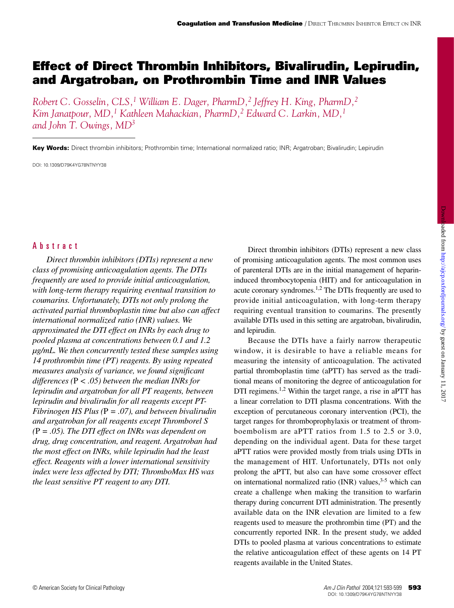# **Effect of Direct Thrombin Inhibitors, Bivalirudin, Lepirudin, and Argatroban, on Prothrombin Time and INR Values**

*Robert C. Gosselin, CLS,1 William E. Dager, PharmD,2 Jeffrey H. King, PharmD,2 Kim Janatpour, MD,1 Kathleen Mahackian, PharmD,2 Edward C. Larkin, MD,1 and John T. Owings, MD3*

**Key Words:** Direct thrombin inhibitors; Prothrombin time; International normalized ratio; INR; Argatroban; Bivalirudin; Lepirudin

DOI: 10.1309/D79K4YG78NTNYY38

# Abstract

*Direct thrombin inhibitors (DTIs) represent a new class of promising anticoagulation agents. The DTIs frequently are used to provide initial anticoagulation, with long-term therapy requiring eventual transition to coumarins. Unfortunately, DTIs not only prolong the activated partial thromboplastin time but also can affect international normalized ratio (INR) values. We approximated the DTI effect on INRs by each drug to pooled plasma at concentrations between 0.1 and 1.2 µg/mL. We then concurrently tested these samples using 14 prothrombin time (PT) reagents. By using repeated measures analysis of variance, we found significant differences (*P *< .05) between the median INRs for lepirudin and argatroban for all PT reagents, between lepirudin and bivalirudin for all reagents except PT-Fibrinogen HS Plus (*P *= .07), and between bivalirudin and argatroban for all reagents except Thromborel S (*P *= .05). The DTI effect on INRs was dependent on drug, drug concentration, and reagent. Argatroban had the most effect on INRs, while lepirudin had the least effect. Reagents with a lower international sensitivity index were less affected by DTI; ThromboMax HS was the least sensitive PT reagent to any DTI.*

Direct thrombin inhibitors (DTIs) represent a new class of promising anticoagulation agents. The most common uses of parenteral DTIs are in the initial management of heparininduced thrombocytopenia (HIT) and for anticoagulation in acute coronary syndromes.1,2 The DTIs frequently are used to provide initial anticoagulation, with long-term therapy requiring eventual transition to coumarins. The presently available DTIs used in this setting are argatroban, bivalirudin, and lepirudin.

Because the DTIs have a fairly narrow therapeutic window, it is desirable to have a reliable means for measuring the intensity of anticoagulation. The activated partial thromboplastin time (aPTT) has served as the traditional means of monitoring the degree of anticoagulation for DTI regimens.<sup>1,2</sup> Within the target range, a rise in aPTT has a linear correlation to DTI plasma concentrations. With the exception of percutaneous coronary intervention (PCI), the target ranges for thromboprophylaxis or treatment of thromboembolism are aPTT ratios from 1.5 to 2.5 or 3.0, depending on the individual agent. Data for these target aPTT ratios were provided mostly from trials using DTIs in the management of HIT. Unfortunately, DTIs not only prolong the aPTT, but also can have some crossover effect on international normalized ratio  $(INR)$  values,  $3-5$  which can create a challenge when making the transition to warfarin therapy during concurrent DTI administration. The presently available data on the INR elevation are limited to a few reagents used to measure the prothrombin time (PT) and the concurrently reported INR. In the present study, we added DTIs to pooled plasma at various concentrations to estimate the relative anticoagulation effect of these agents on 14 PT reagents available in the United States.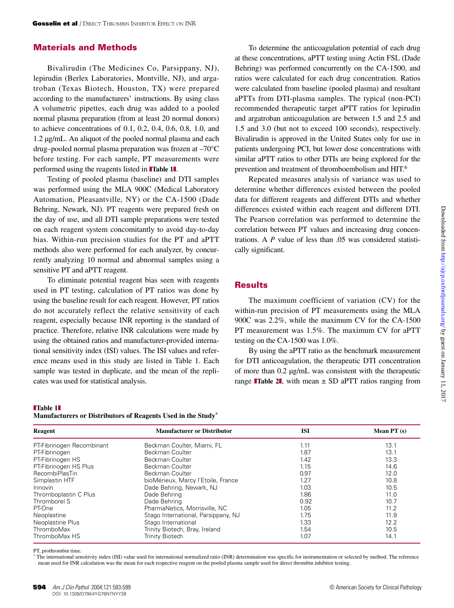## **Materials and Methods**

Bivalirudin (The Medicines Co, Parsippany, NJ), lepirudin (Berlex Laboratories, Montville, NJ), and argatroban (Texas Biotech, Houston, TX) were prepared according to the manufacturers' instructions. By using class A volumetric pipettes, each drug was added to a pooled normal plasma preparation (from at least 20 normal donors) to achieve concentrations of 0.1, 0.2, 0.4, 0.6, 0.8, 1.0, and 1.2 µg/mL. An aliquot of the pooled normal plasma and each drug–pooled normal plasma preparation was frozen at –70°C before testing. For each sample, PT measurements were performed using the reagents listed in ❚**Table 1**❚.

Testing of pooled plasma (baseline) and DTI samples was performed using the MLA 900C (Medical Laboratory Automation, Pleasantville, NY) or the CA-1500 (Dade Behring, Newark, NJ). PT reagents were prepared fresh on the day of use, and all DTI sample preparations were tested on each reagent system concomitantly to avoid day-to-day bias. Within-run precision studies for the PT and aPTT methods also were performed for each analyzer, by concurrently analyzing 10 normal and abnormal samples using a sensitive PT and aPTT reagent.

To eliminate potential reagent bias seen with reagents used in PT testing, calculation of PT ratios was done by using the baseline result for each reagent. However, PT ratios do not accurately reflect the relative sensitivity of each reagent, especially because INR reporting is the standard of practice. Therefore, relative INR calculations were made by using the obtained ratios and manufacturer-provided international sensitivity index (ISI) values. The ISI values and reference means used in this study are listed in Table 1. Each sample was tested in duplicate, and the mean of the replicates was used for statistical analysis.

#### ❚**Table 1**❚

| Manufacturers or Distributors of Reagents Used in the Study® |  |  |  |  |  |
|--------------------------------------------------------------|--|--|--|--|--|
|                                                              |  |  |  |  |  |

**Manufacturers or Distributors of Reagents Used in the Study\* Reagent Manufacturer or Distributor ISI Mean PT (s)** PT-Fibrinogen Recombinant Beckman Coulter, Miami, FL 1.11 13.1 PT-Fibrinogen Beckman Coulter 1.87 13.1 PT-Fibrinogen HS Beckman Coulter 1.42 13.3 PT-Fibrinogen HS Plus RecombiPlasTin Beckman Coulter 0.97 12.0 Simplastin HTF bioMérieux, Marcy l'Etoile, France Innovin Dade Behring, Newark, NJ 1.03 10.5 Thromboplastin C Plus Thromborel S **Dade Behring 10.7** 2012 10.7 2014 10.7 2012 10.7 2014 10.7 2012 10.7 2014 10.7 2014 10.7 2014 10.7 2014 10.7 2014 10.7 2014 10.7 2014 10.7 2014 10.7 2014 10.7 2014 10.7 2014 10.7 2014 10.7 2014 10.7 2014 10.7 PT-One **PharmaNetics, Morrisville, NC** 1.05 11.2 Neoplastine Stago International, Parsippany, NJ 1.75 11.9 Neoplastine Plus Stago International 1.33 12.2 ThromboMax Trinity Biotech, Bray, Ireland 1.54 10.5 ThromboMax HS

PT, prothrombin time.

\* The international sensitivity index (ISI) value used for international normalized ratio (INR) determination was specific for instrumentation or selected by method. The reference mean used for INR calculation was the mean for each respective reagent on the pooled plasma sample used for direct thrombin inhibitor testing.

at these concentrations, aPTT testing using Actin FSL (Dade Behring) was performed concurrently on the CA-1500, and ratios were calculated for each drug concentration. Ratios were calculated from baseline (pooled plasma) and resultant aPTTs from DTI-plasma samples. The typical (non-PCI) recommended therapeutic target aPTT ratios for lepirudin and argatroban anticoagulation are between 1.5 and 2.5 and 1.5 and 3.0 (but not to exceed 100 seconds), respectively. Bivalirudin is approved in the United States only for use in patients undergoing PCI, but lower dose concentrations with similar aPTT ratios to other DTIs are being explored for the prevention and treatment of thromboembolism and HIT.6

To determine the anticoagulation potential of each drug

Repeated measures analysis of variance was used to determine whether differences existed between the pooled data for different reagents and different DTIs and whether differences existed within each reagent and different DTI. The Pearson correlation was performed to determine the correlation between PT values and increasing drug concentrations. A *P* value of less than .05 was considered statistically significant.

### **Results**

The maximum coefficient of variation (CV) for the within-run precision of PT measurements using the MLA 900C was 2.2%, while the maximum CV for the CA-1500 PT measurement was 1.5%. The maximum CV for aPTT testing on the CA-1500 was 1.0%.

By using the aPTT ratio as the benchmark measurement for DTI anticoagulation, the therapeutic DTI concentration of more than 0.2 µg/mL was consistent with the therapeutic range **Table 2**, with mean  $\pm$  SD aPTT ratios ranging from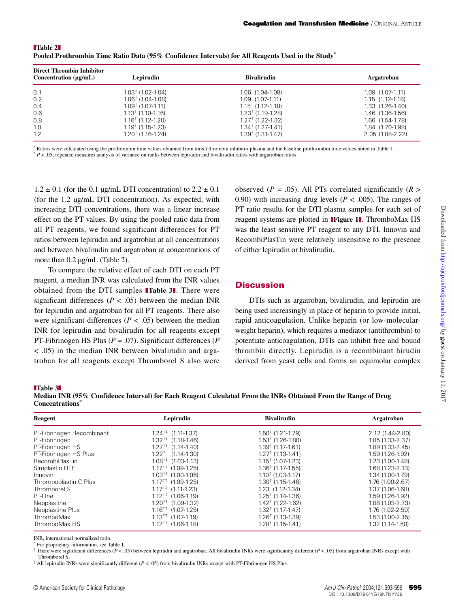| <b>Direct Thrombin Inhibitor</b>  |                              |                              |                   |  |  |  |  |
|-----------------------------------|------------------------------|------------------------------|-------------------|--|--|--|--|
| Concentration $(\mu \varrho /mL)$ | Lepirudin                    | <b>Bivalirudin</b>           | Argatroban        |  |  |  |  |
| 0.1                               | $1.03^+$ (1.02-1.04)         | 1.06 (1.04-1.08)             | $1.09(1.07-1.11)$ |  |  |  |  |
| 0.2                               | $1.06^{\dagger}$ (1.04-1.08) | $1.09(1.07-1.11)$            | $1.15(1.12-1.18)$ |  |  |  |  |
| 0.4                               | $1.09^+$ (1.07-1.11)         | $1.15^{\dagger}$ (1.12-1.18) | 1.33 (1.26-1.40)  |  |  |  |  |
| 0.6                               | $1.13^+$ (1.10-1.16)         | $1.23^+$ (1.19-1.28)         | 1.46 (1.36-1.56)  |  |  |  |  |
| 0.8                               | $1.16^+$ (1.12-1.20)         | $1.27^+$ (1.22-1.32)         | 1.66 (1.54-1.78)  |  |  |  |  |
| 1.0                               | $1.19†$ (1.15-1.23)          | $1.34^{\dagger}$ (1.27-1.41) | 1.84 (1.70-1.98)  |  |  |  |  |
| 1.2                               | $1.20^+$ (1.16-1.24)         | $1.39†$ (1.31-1.47)          | $2.05(1.88-2.22)$ |  |  |  |  |

❚**Table 2**❚ **Pooled Prothrombin Time Ratio Data (95% Confidence Intervals) for All Reagents Used in the Study\***

\* Ratios were calculated using the prothrombin time values obtained from direct thrombin inhibitor plasma and the baseline prothrombin time values noted in Table 1. † *P* < .05; repeated measures analysis of variance on ranks between lepirudin and bivalirudin ratios with argatroban ratios.

 $1.2 \pm 0.1$  (for the 0.1 µg/mL DTI concentration) to  $2.2 \pm 0.1$ (for the 1.2 µg/mL DTI concentration). As expected, with increasing DTI concentrations, there was a linear increase effect on the PT values. By using the pooled ratio data from all PT reagents, we found significant differences for PT ratios between lepirudin and argatroban at all concentrations and between bivalirudin and argatroban at concentrations of more than  $0.2 \mu g/mL$  (Table 2).

To compare the relative effect of each DTI on each PT reagent, a median INR was calculated from the INR values obtained from the DTI samples ❚**Table 3**❚. There were significant differences ( $P < .05$ ) between the median INR for lepirudin and argatroban for all PT reagents. There also were significant differences ( $P < .05$ ) between the median INR for lepirudin and bivalirudin for all reagents except PT-Fibrinogen HS Plus (*P* = .07). Significant differences (*P* < .05) in the median INR between bivalirudin and argatroban for all reagents except Thromborel S also were

observed ( $P = .05$ ). All PTs correlated significantly ( $R >$ 0.90) with increasing drug levels ( $P < .005$ ). The ranges of PT ratio results for the DTI plasma samples for each set of reagent systems are plotted in ❚**Figure 1**❚. ThromboMax HS was the least sensitive PT reagent to any DTI. Innovin and RecombiPlasTin were relatively insensitive to the presence of either lepirudin or bivalirudin.

## **Discussion**

DTIs such as argatroban, bivalirudin, and lepirudin are being used increasingly in place of heparin to provide initial, rapid anticoagulation. Unlike heparin (or low-molecularweight heparin), which requires a mediator (antithrombin) to potentiate anticoagulation, DTIs can inhibit free and bound thrombin directly. Lepirudin is a recombinant hirudin derived from yeast cells and forms an equimolar complex

#### ❚**Table 3**❚

**Median INR (95% Confidence Interval) for Each Reagent Calculated From the INRs Obtained From the Range of Drug Concentrations\***

| Reagent                   | Lepirudin                            | <b>Bivalirudin</b>                  | Argatroban        |
|---------------------------|--------------------------------------|-------------------------------------|-------------------|
| PT-Fibrinogen Recombinant | $1.24^{++}$ (1.11-1.37)              | $1.50†$ (1.21-1.79)                 | 2.12 (1.44-2.80)  |
| PT-Fibrinogen             | $1.32^{+4}$ (1.18-1.46)              | $1.53†$ (1.26-1.80)                 | 1.85 (1.33-2.37)  |
| PT-Fibrinogen HS          | $1.27^{\dagger\ddagger}$ (1.14-1.40) | $1.39†$ (1.17-1.61)                 | 1.89 (1.33-2.45)  |
| PT-Fibrinogen HS Plus     | $1.22^+$ $(1.14-1.30)$               | $1.27$ <sup>†</sup> $(1.13 - 1.41)$ | 1.59 (1.26-1.92)  |
| RecombiPlasTin            | $1.08^{+4}$ (1.03-1.13)              | $1.15^+$ (1.07-1.23)                | 1.23 (1.00-1.48)  |
| Simplastin HTF            | $1.17^{++}$ (1.09-1.25)              | $1.36^{\dagger}$ (1.17-1.55)        | 1.68 (1.23-2.13)  |
| Innovin                   | $1.03^{+4}$ (1.00-1.06)              | $1.10+$ (1.03-1.17)                 | 1.34 (1.00-1.79)  |
| Thromboplastin C Plus     | $1.17^{+4}$ (1.09-1.25)              | $1.30†$ (1.15-1.46)                 | 1.76 (1.00-2.67)  |
| Thromborel S              | $1.17^{++}$ (1.11-1.23)              | 1.23 (1.12-1.34)                    | 1.37 (1.06-1.68)  |
| PT-One                    | $1.12^{+1}$ (1.06-1.19)              | $1.25^+$ (1.14-1.36)                | 1.59 (1.26-1.92)  |
| Neoplastine               | $1.20^{+4}$ (1.09-1.32)              | $1.42^+$ (1.22-1.62)                | 1.88 (1.03-2.73)  |
| Neoplastine Plus          | $1.16^{++}$ (1.07-1.25)              | $1.32^+$ (1.17-1.47)                | 1.76 (1.02-2.50)  |
| ThromboMax                | $1.13^{+4}$ (1.07-1.19)              | $1.26^+$ (1.13-1.39)                | $1.53(1.00-2.15)$ |
| ThromboMax HS             | $1.12^{+4}$ (1.06-1.18)              | $1.28†$ (1.15-1.41)                 | 1.32 (1.14-1.50)  |

INR, international normalized ratio.

For proprietary information, see Table 1.

 $\dagger$  There were significant differences ( $P < .05$ ) between lepirudin and argatroban. All bivalirudin INRs were significantly different ( $P < .05$ ) from argatroban INRs except with Thromborel S.

 $*$  All lepirudin INRs were significantly different ( $P < .05$ ) from bivalirudin INRs except with PT-Fibrinogen HS Plus.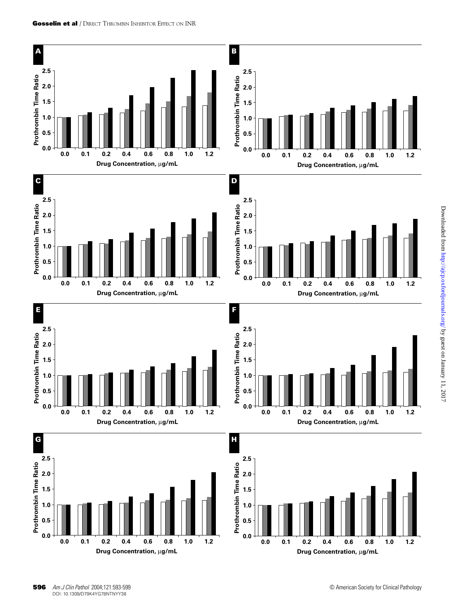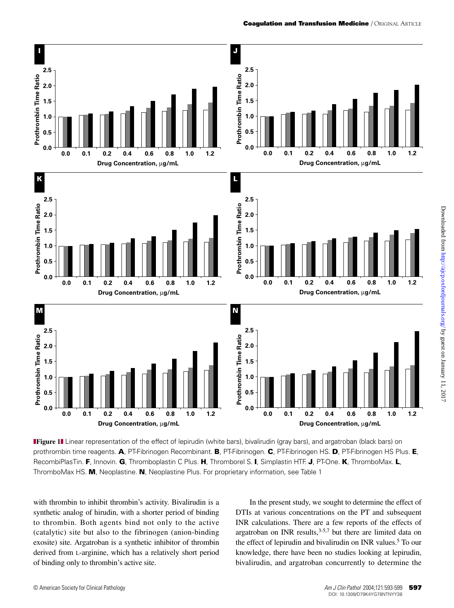

Downloaded from http://ajcp.oxfordjournals.org/ by guest on January 11, 2017

Downloaded from  $http://a]cp.oxfordjournals.org/ by guest on January 11, 2017$ 

**Figure 11** Linear representation of the effect of lepirudin (white bars), bivalirudin (gray bars), and argatroban (black bars) on prothrombin time reagents. **A**, PT-Fibrinogen Recombinant. **B**, PT-Fibrinogen. **C**, PT-Fibrinogen HS. **D**, PT-Fibrinogen HS Plus. **E**, RecombiPlasTin. **F**, Innovin. **G**, Thromboplastin C Plus. **H**, Thromborel S. **I**, Simplastin HTF. **J**, PT-One. **K**, ThromboMax. **L**, ThromboMax HS. **M**, Neoplastine. **N**, Neoplastine Plus. For proprietary information, see Table 1

with thrombin to inhibit thrombin's activity. Bivalirudin is a synthetic analog of hirudin, with a shorter period of binding to thrombin. Both agents bind not only to the active (catalytic) site but also to the fibrinogen (anion-binding exosite) site. Argatroban is a synthetic inhibitor of thrombin derived from L-arginine, which has a relatively short period of binding only to thrombin's active site.

In the present study, we sought to determine the effect of DTIs at various concentrations on the PT and subsequent INR calculations. There are a few reports of the effects of argatroban on INR results, $3-5.7$  but there are limited data on the effect of lepirudin and bivalirudin on INR values.<sup>5</sup> To our knowledge, there have been no studies looking at lepirudin, bivalirudin, and argatroban concurrently to determine the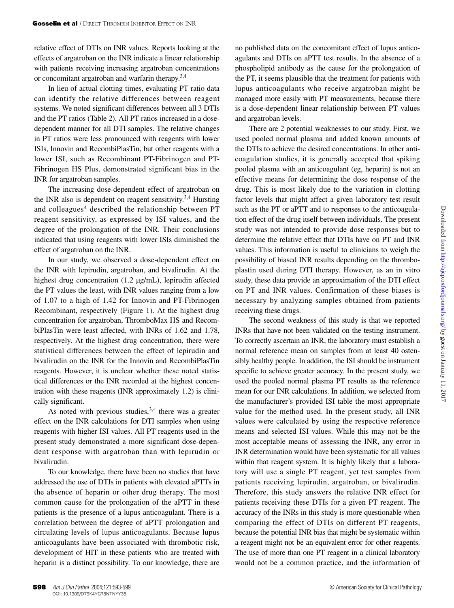relative effect of DTIs on INR values. Reports looking at the effects of argatroban on the INR indicate a linear relationship with patients receiving increasing argatroban concentrations or concomitant argatroban and warfarin therapy.3,4

In lieu of actual clotting times, evaluating PT ratio data can identify the relative differences between reagent systems. We noted significant differences between all 3 DTIs and the PT ratios (Table 2). All PT ratios increased in a dosedependent manner for all DTI samples. The relative changes in PT ratios were less pronounced with reagents with lower ISIs, Innovin and RecombiPlasTin, but other reagents with a lower ISI, such as Recombinant PT-Fibrinogen and PT-Fibrinogen HS Plus, demonstrated significant bias in the INR for argatroban samples.

The increasing dose-dependent effect of argatroban on the INR also is dependent on reagent sensitivity.3,4 Hursting and colleagues<sup>4</sup> described the relationship between  $PT$ reagent sensitivity, as expressed by ISI values, and the degree of the prolongation of the INR. Their conclusions indicated that using reagents with lower ISIs diminished the effect of argatroban on the INR.

In our study, we observed a dose-dependent effect on the INR with lepirudin, argatroban, and bivalirudin. At the highest drug concentration (1.2 µg/mL), lepirudin affected the PT values the least, with INR values ranging from a low of 1.07 to a high of 1.42 for Innovin and PT-Fibrinogen Recombinant, respectively (Figure 1). At the highest drug concentration for argatroban, ThromboMax HS and RecombiPlasTin were least affected, with INRs of 1.62 and 1.78, respectively. At the highest drug concentration, there were statistical differences between the effect of lepirudin and bivalirudin on the INR for the Innovin and RecombiPlasTin reagents. However, it is unclear whether these noted statistical differences or the INR recorded at the highest concentration with these reagents (INR approximately 1.2) is clinically significant.

As noted with previous studies,  $3,4$  there was a greater effect on the INR calculations for DTI samples when using reagents with higher ISI values. All PT reagents used in the present study demonstrated a more significant dose-dependent response with argatroban than with lepirudin or bivalirudin.

To our knowledge, there have been no studies that have addressed the use of DTIs in patients with elevated aPTTs in the absence of heparin or other drug therapy. The most common cause for the prolongation of the aPTT in these patients is the presence of a lupus anticoagulant. There is a correlation between the degree of aPTT prolongation and circulating levels of lupus anticoagulants. Because lupus anticoagulants have been associated with thrombotic risk, development of HIT in these patients who are treated with heparin is a distinct possibility. To our knowledge, there are no published data on the concomitant effect of lupus anticoagulants and DTIs on aPTT test results. In the absence of a phospholipid antibody as the cause for the prolongation of the PT, it seems plausible that the treatment for patients with lupus anticoagulants who receive argatroban might be managed more easily with PT measurements, because there is a dose-dependent linear relationship between PT values and argatroban levels.

There are 2 potential weaknesses to our study. First, we used pooled normal plasma and added known amounts of the DTIs to achieve the desired concentrations. In other anticoagulation studies, it is generally accepted that spiking pooled plasma with an anticoagulant (eg, heparin) is not an effective means for determining the dose response of the drug. This is most likely due to the variation in clotting factor levels that might affect a given laboratory test result such as the PT or aPTT and to responses to the anticoagulation effect of the drug itself between individuals. The present study was not intended to provide dose responses but to determine the relative effect that DTIs have on PT and INR values. This information is useful to clinicians to weigh the possibility of biased INR results depending on the thromboplastin used during DTI therapy. However, as an in vitro study, these data provide an approximation of the DTI effect on PT and INR values. Confirmation of these biases is necessary by analyzing samples obtained from patients receiving these drugs.

The second weakness of this study is that we reported INRs that have not been validated on the testing instrument. To correctly ascertain an INR, the laboratory must establish a normal reference mean on samples from at least 40 ostensibly healthy people. In addition, the ISI should be instrument specific to achieve greater accuracy. In the present study, we used the pooled normal plasma PT results as the reference mean for our INR calculations. In addition, we selected from the manufacturer's provided ISI table the most appropriate value for the method used. In the present study, all INR values were calculated by using the respective reference means and selected ISI values. While this may not be the most acceptable means of assessing the INR, any error in INR determination would have been systematic for all values within that reagent system. It is highly likely that a laboratory will use a single PT reagent, yet test samples from patients receiving lepirudin, argatroban, or bivalirudin. Therefore, this study answers the relative INR effect for patients receiving these DTIs for a given PT reagent. The accuracy of the INRs in this study is more questionable when comparing the effect of DTIs on different PT reagents, because the potential INR bias that might be systematic within a reagent might not be an equivalent error for other reagents. The use of more than one PT reagent in a clinical laboratory would not be a common practice, and the information of